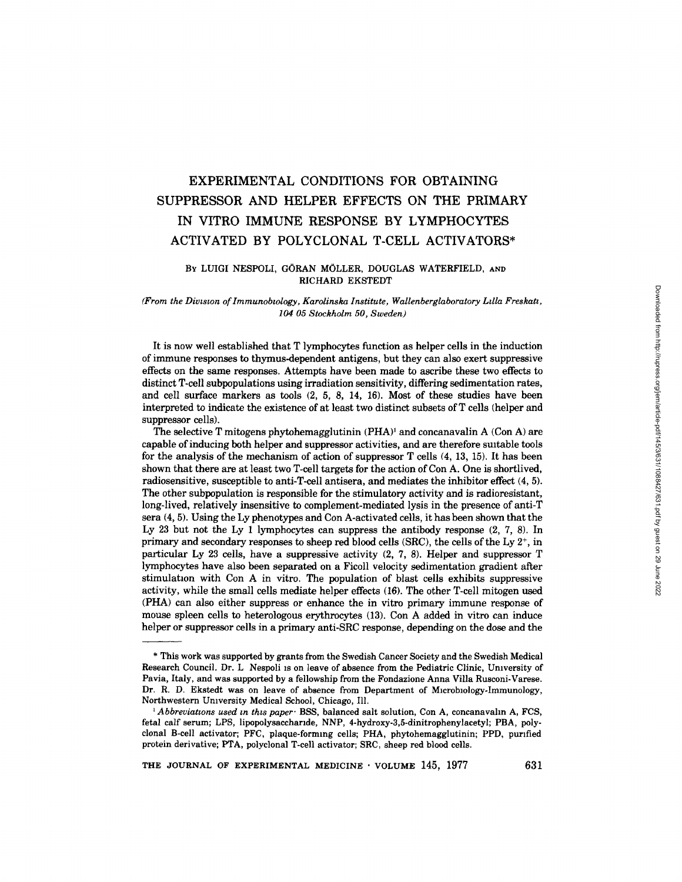# **EXPERIMENTAL CONDITIONS FOR OBTAINING SUPPRESSOR AND HELPER EFFECTS ON THE PRIMARY IN VITRO IMMUNE RESPONSE BY LYMPHOCYTES**  ACTIVATED BY POLYCLONAL T-CELL ACTIVATORS\*

# BY LUIGI NESPOLI, GORAN MOLLER, DOUGLAS WATERFIELD, **AND**  RICHARD EKSTEDT

## *(From the Diwsmn of Immunobmlogy, Karolinska Institute, Wallenberglaboratory Ldla Freskatz, 104 05 Stockholm 50, Sweden)*

It is now well established that T lymphocytes function as helper cells in the induction of immune responses to thymus-dependent antigens, but they can also exert suppressive effects on the same responses. Attempts have been made to ascribe these two effects to distinct T-cell subpopulations using irradiation sensitivity, differing sedimentation rates, and cell surface markers as tools (2, 5, 8, 14, 16). Most of these studies have been interpreted to indicate the existence of at least two distinct subsets of T cells (helper and suppressor cells).

The selective T mitogens phytohemagglutinin  $(PHA)^1$  and concanavalin A (Con A) are capable of inducing both helper and suppressor activities, and are therefore suitable tools for the analysis of the mechanism of action of suppressor T cells (4, 13, 15). It has been shown that there are at least two T-cell targets for the action of Con A. One is shortlived, radiosensitive, susceptible to anti-T-cell antisera, and mediates the inhibitor effect (4, 5). The other subpopulation is responsible for the stimulatory activity and is radioresistant, long-lived, relatively insensitive to complement-mediated lysis in the presence of anti-T sera (4, 5). Using the Ly phenotypes and Con A-activated cells, it has been shown that the Ly 23 but not the Ly 1 lymphocytes can suppress the antibody response  $(2, 7, 8)$ . In primary and secondary responses to sheep red blood cells (SRC), the cells of the Ly  $2^+$ , in particular Ly 23 cells, have a suppressive activity (2, 7, 8). Helper and suppressor T lymphocytes have also been separated on a Ficoll velocity sedimentation gradient after stimulation with Con A in vitro. The population of blast cells exhibits suppressive activity, while the small cells mediate helper effects (16). The other T-cell mitogen used (PHA) can also either suppress or enhance the in vitro primary immune response of mouse spleen cells to heterologous erythrocytes (13). Con A added in vitro can induce helper or suppressor cells in a primary anti-SRC response, depending on the dose and the

**THE** JOURNAL OF EXPERIMENTAL MEDICINE • VOLUME 145, 1977 631

<sup>\*</sup> This work was supported by grants from the Swedish Cancer Society and the Swedish Medical Research Council. Dr. L Nespoli is on leave of absence from the Pediatric Clinic, University of Pavia, Italy, and was supported by a fellowship from the Fondazione Anna Villa Rusconi-Varese. Dr. R. D. Ekstedt was on leave of absence from Department of Microbiology-Immunology, Northwestern Umversity Medical School, Chicago, Ill.

*Abbreviations used in this paper* 'BSS, balanced salt solution, Con A, concanavalin A, FCS, fetal calf serum; LPS, lipopolysacchande, NNP, 4-hydroxy-3,5-dinitrophenylacetyl; PBA, polyclonal B-cell activator; PFC, plaque-forming cells; PHA, phytohemagglutinin; PPD, purified protein derivative; PTA, polyclonal T-cell activator; SRC, sheep red blood cells.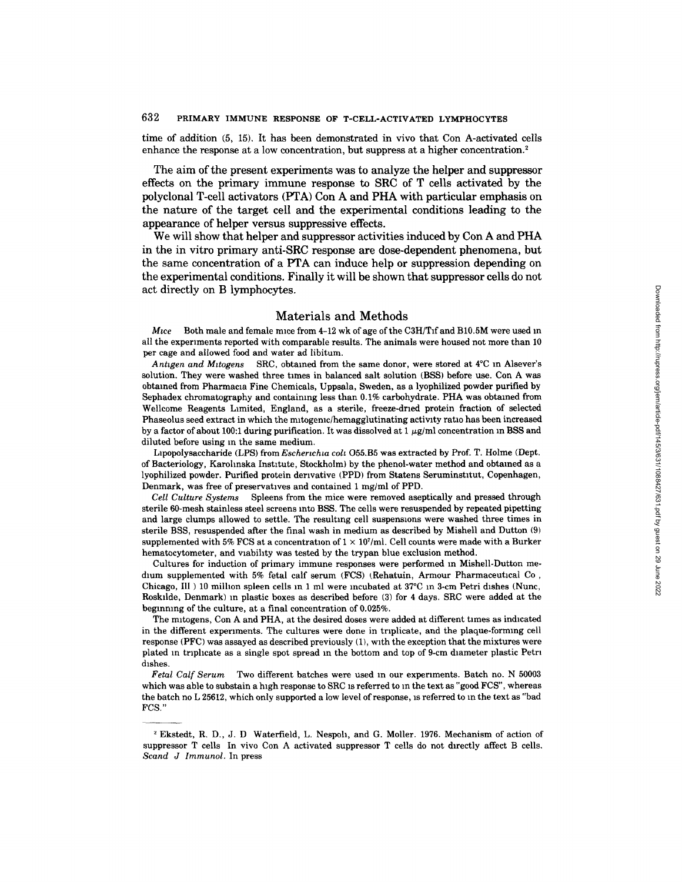# **632 PRIMARY IMMUNE RESPONSE OF T-CELL-ACTIVATED LYMPHOCYTES**

time of addition (5, 15). It has been demonstrated in vivo that Con A-activated cells enhance the response at a low concentration, but suppress at a higher concentration.<sup>2</sup>

The aim of the present experiments was to analyze the helper and suppressor effects on the primary immune response to SRC of T cells activated by the polyclonal T-cell activators (PTA) Con A and PHA with particular emphasis on the nature of the target cell and the experimental conditions leading to the appearance of helper versus suppressive effects.

We will show that helper and suppressor activities induced by Con A and PHA in the in vitro primary anti-SRC response are dose-dependent phenomena, but the same concentration of a PTA can induce help or suppression depending on the experimental conditions. Finally it will be shown that suppressor cells do not act directly on B lymphocytes.

# Materials and Methods

*Mice* Both male and female mice from 4-12 wk of age of the C3H/Tif and B10.5M were used in all the experiments reported with comparable results. The animals were housed not more than I0 per cage and allowed food and water ad libitum.

*Antigen and Mitogens* SRC, obtained from the same donor, were stored at 4<sup>°</sup>C in Alsever's solution. They were washed three times in balanced salt solution (BSS) before use. Con A was obtained from Pharmacla Fine Chemicals, Uppsala, Sweden, as a lyophilized powder purified by Sephadex chromatography and containing less than 0.1% carbohydrate. PHA was obtained from Wellcome Reagents Limited, England, as a sterile, freeze-dried protein fraction of selected Phaseolus seed extract in which the mitogenic/hemagglutinating activity ratio has been increased by a factor of about 100:1 during purification. It was dissolved at 1  $\mu$ g/ml concentration in BSS and diluted before using m the same medium.

Lipopolysaccharide (LPS) from *Escherichia coli* O55.B5 was extracted by Prof. T. Holme (Dept. of Bacteriology, Karohnska Institute, Stockholm) by the phenol-water method and obtained as a lyophilized powder. Purified protein derivative (PPD) from Statens Seruminstltut, Copenhagen, Denmark, was free of preservatives and contained 1 mg/ml of PPD.

*Cell Culture Systems* Spleens from the mice were removed aseptically and pressed through sterile 60-mesh stainless steel screens into BSS. The cells were resuspended by repeated pipetting and large clumps allowed to settle. The resulting cell suspensions were washed three times in sterile BSS, resuspended after the final wash in medium as described by Mishell and Dutton (9) supplemented with 5% FCS at a concentration of  $1 \times 10^7$ /ml. Cell counts were made with a Burker hematocytometer, and wabihty was tested by the trypan blue exclusion method.

Cultures for induction of primary immune responses were performed m Mishell-Dutton medum supplemented with 5% fetal calf serum (FCS) (Rehatuin, Armour Pharmaceutical Co, Chicago, Ill  $)$  10 million spleen cells in 1 ml were incubated at 37°C in 3-cm Petri dishes (Nunc, Roskllde, Denmark) m plastic boxes as described before (3) for 4 days. SRC were added at the beginning of the culture, at a final concentration of 0.025%.

The mitogens, Con A and PHA, at the desired doses were added at different times as indicated in the different experiments. The cultures were done in triplicate, and the plaque-forming cell response (PFC) was assayed as described previously (1), with the exception that the mixtures were plated in triplicate as a single spot spread in the bottom and top of 9-cm diameter plastic Petri dishes.

*Fetal Calf Serum* Two different batches were used m our experiments. Batch no. N 50003 which was able to substain a high response to SRC is referred to m the text as "good FCS", whereas the batch no L 25612, which only supported a low level of response, is referred to m the text as "bad FCS."

Ekstedt, R. D., J. D Waterfield, L. Nespoh, and G. Moller. 1976. Mechanism of action of suppressor T cells In vivo Con A activated suppressor T cells do not directly affect B cells. *Scand J Immunol.* In press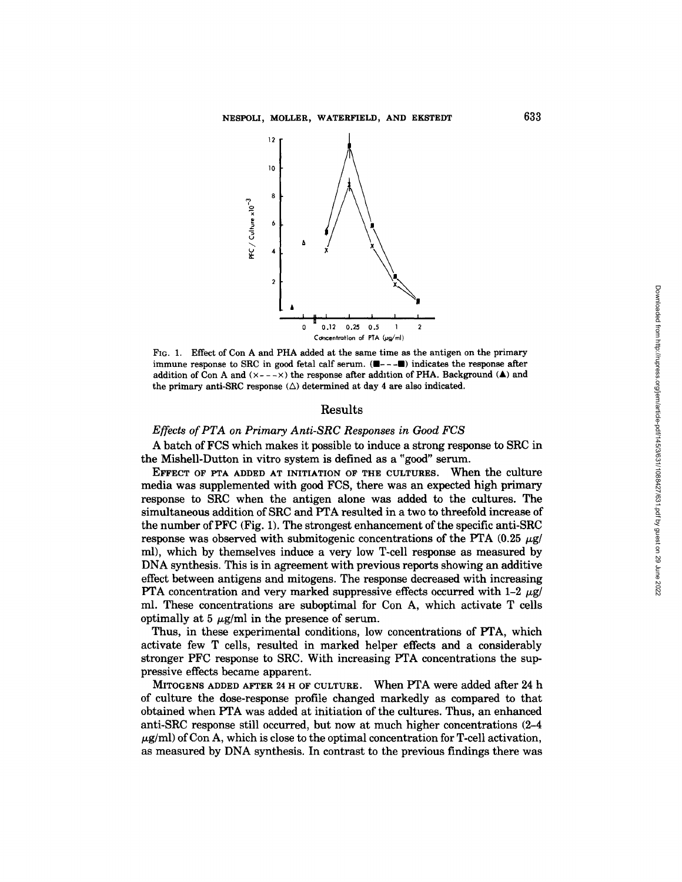

FIG. 1. Effect of Con A and PHA added at the same time as the antigen on the primary immune response to SRC in good fetal calf serum.  $(\blacksquare - \blacksquare - \blacksquare)$  indicates the response after addition of Con A and  $(x---x)$  the response after addition of PHA. Background ( $\blacktriangle$ ) and the primary anti-SRC response  $(\triangle)$  determined at day 4 are also indicated.

# Results

# *Effects of PTA on Primary Anti-SRC Responses in Good FCS*

A batch of FCS which makes it possible to induce a strong response to SRC in the Mishell-Dutton in vitro system is defined as a "good" serum.

EFFECT OF PTA ADDED AT INITIATION OF THE CULTURES. When the culture media was supplemented with good FCS, there was an expected high primary response to SRC when the antigen alone was added to the cultures. The simultaneous addition of SRC and PTA resulted in a two to threefold increase of the number of PFC (Fig. 1). The strongest enhancement of the specific anti-SRC response was observed with submitogenic concentrations of the PTA  $(0.25~\mu$ g/ ml), which by themselves induce a very low T-cell response as measured by DNA synthesis. This is in agreement with previous reports showing an additive effect between antigens and mitogens. The response decreased with increasing PTA concentration and very marked suppressive effects occurred with 1-2  $\mu$ g/ ml. These concentrations are suboptimal for Con A, which activate T cells optimally at 5  $\mu$ g/ml in the presence of serum.

Thus, in these experimental conditions, low concentrations of PTA, which activate few T cells, resulted in marked helper effects and a considerably stronger PFC response to SRC. With increasing PTA concentrations the suppressive effects became apparent.

MITOGENS ADDED AFTER 24 H OF CULTURE. When PTA were added after 24 h of culture the dose-response profile changed markedly as compared to that obtained when PTA was added at initiation of the cultures. Thus, an enhanced anti-SRC response still occurred, but now at much higher concentrations (2-4  $\mu$ g/ml) of Con A, which is close to the optimal concentration for T-cell activation, as measured by DNA synthesis. In contrast to the previous findings there was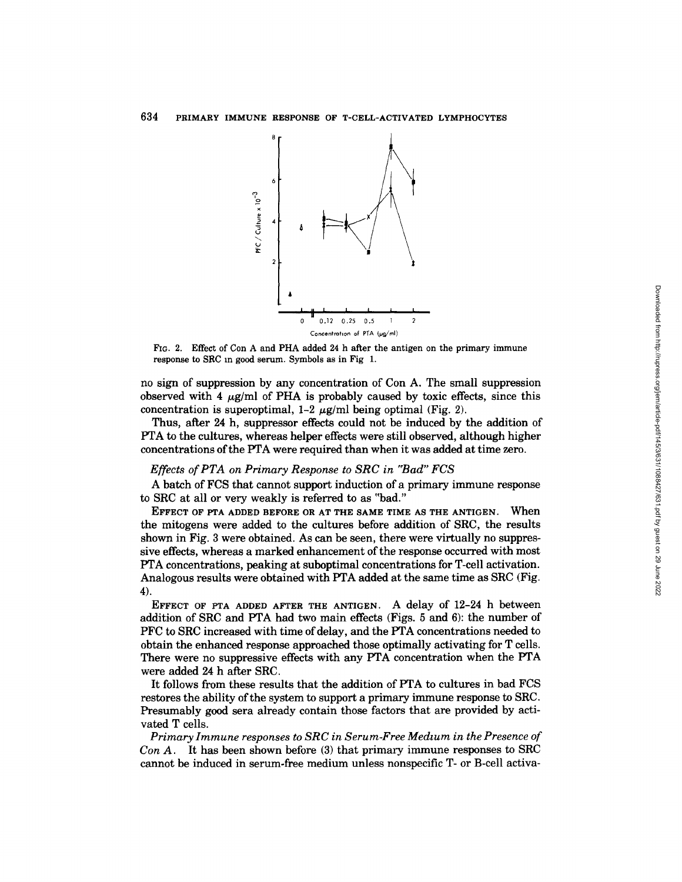

FIG. 2. Effect of Con A and PHA added 24 h after the antigen on the primary immune response to SRC m good serum. Symbols as in Fig 1.

no sign of suppression by any concentration of Con A. The small suppression observed with 4  $\mu$ g/ml of PHA is probably caused by toxic effects, since this concentration is superoptimal,  $1-2 \mu g/ml$  being optimal (Fig. 2).

Thus, after 24 h, suppressor effects could not be induced by the addition of PTA to the cultures, whereas helper effects were still observed, although higher concentrations of the PTA were required than when it was added at time zero.

#### *Effects of PTA on Primary Response to SRC in "Bad" FCS*

A batch of FCS that cannot support induction of a primary immune response to SRC at all or very weakly is referred to as "bad."

EFFECT OF PTA ADDED BEFORE OR AT THE SAME TIME AS THE ANTIGEN. When the mitogens were added to the cultures before addition of SRC, the results shown in Fig. 3 were obtained. As can be seen, there were virtually no suppressive effects, whereas a marked enhancement of the response occurred with most PTA concentrations, peaking at suboptimal concentrations for T-cell activation. Analogous results were obtained with PTA added at the same time as SRC (Fig. 4).

EFFECT OF PTA ADDED AFTER THE ANTIGEN. A delay of 12-24 h between addition of SRC and PTA had two main effects (Figs. 5 and 6): the number of PFC to SRC increased with time of delay, and the PTA concentrations needed to obtain the enhanced response approached those optimally activating for T cells. There were no suppressive effects with any PTA concentration when the PTA were added 24 h after SRC.

It follows from these results that the addition of PTA to cultures in bad FCS restores the ability of the system to support a primary immune response to SRC. Presumably good sera already contain those factors that are provided by activated T cells.

*Primary Immune responses to SRC in Serum-Free Medium in the Presence of Con A.* It has been shown before (3) that primary immune responses to SRC cannot be induced in serum-free medium unless nonspecific T- or B-cell activa-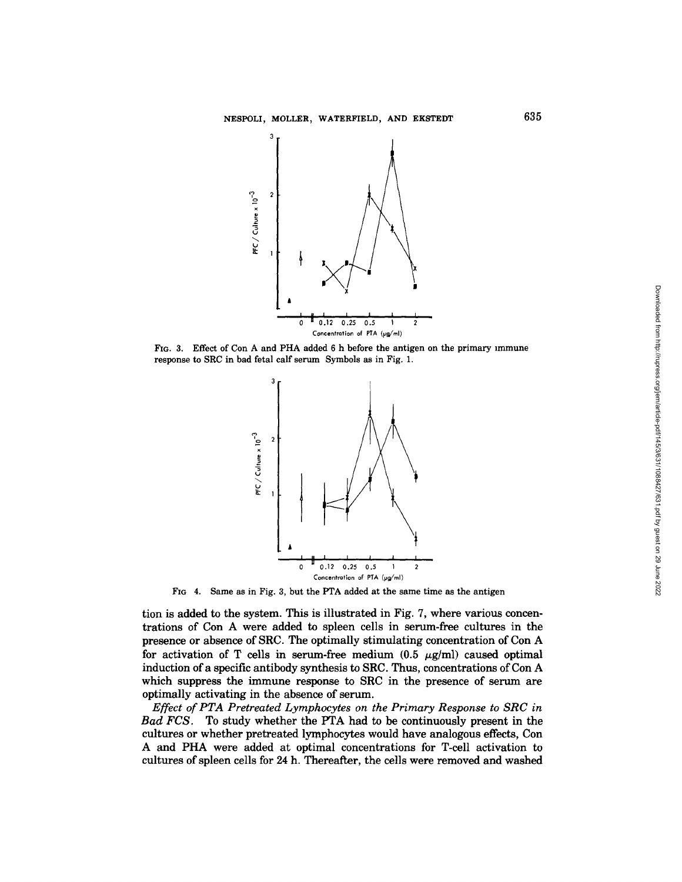

FIG. 3. **Effect of Con A and PHA added** 6 h **before the antigen on the primary immune response to SRC in bad fetal calf serum Symbols as in Fig. 1.** 



FIG 4. **Same as in Fig. 3, but the PTA added at the same time as the antigen** 

**tion is added to the system. This is illustrated in Fig. 7, where various concentrations of Con A were added to spleen cells in serum-free cultures in the presence or absence of SRC. The optimally stimulating concentration of Con A**  for activation of T cells in serum-free medium  $(0.5 \ \mu g/ml)$  caused optimal **induction of a specific antibody synthesis to SRC. Thus, concentrations of Con A which suppress the immune response to SRC in the presence of serum are optimally activating in the absence of serum.** 

*Effect of PTA Pretreated Lymphocytes on the Primary Response to SRC in Bad FCS.* **To study whether the PTA had to be continuously present in the cultures or whether pretreated lymphocytes would have analogous effects, Con A and PHA were added at optimal concentrations for T-cell activation to**  cultures of spleen cells for 24 h. Thereafter, the cells were removed and washed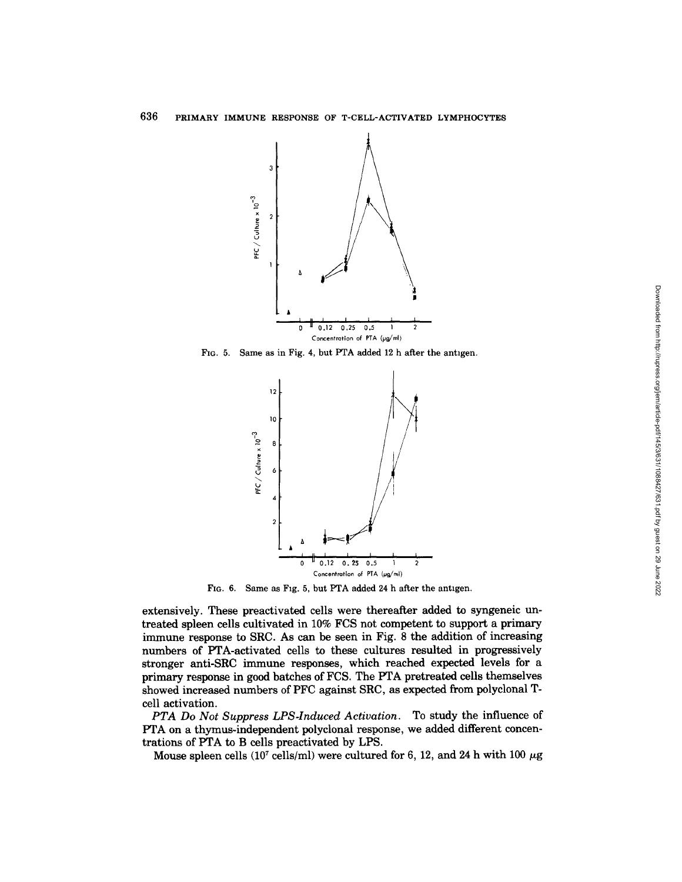

Fla. 5. **Same as in Fig. 4, but PTA added** 12 h **after the antigen.** 



FIG. 6. Same as Fig. 5, but PTA added 24 h after the antigen.

**extensively. These preactivated cells were thereafter added to syngeneic untreated spleen cells cultivated in 10% FCS not competent to support a primary immune response to SRC. As can be seen in Fig. 8 the addition of increasing numbers of PTA-activated cells to these cultures resulted in progressively stronger anti-SRC immune responses, which reached expected levels for a primary response in good batches of FCS. The PTA pretreated cells themselves showed increased numbers of PFC against SRC, as expected from polyclonal Tcell activation.** 

*PTA Do Not Suppress LPS-Induced Activation.* **To study the influence of PTA on a thymus-independent polyclonal response, we added different concentrations of PTA to B cells preactivated by LPS.** 

Mouse spleen cells  $(10^7 \text{ cells/ml})$  were cultured for 6, 12, and 24 h with 100  $\mu$ g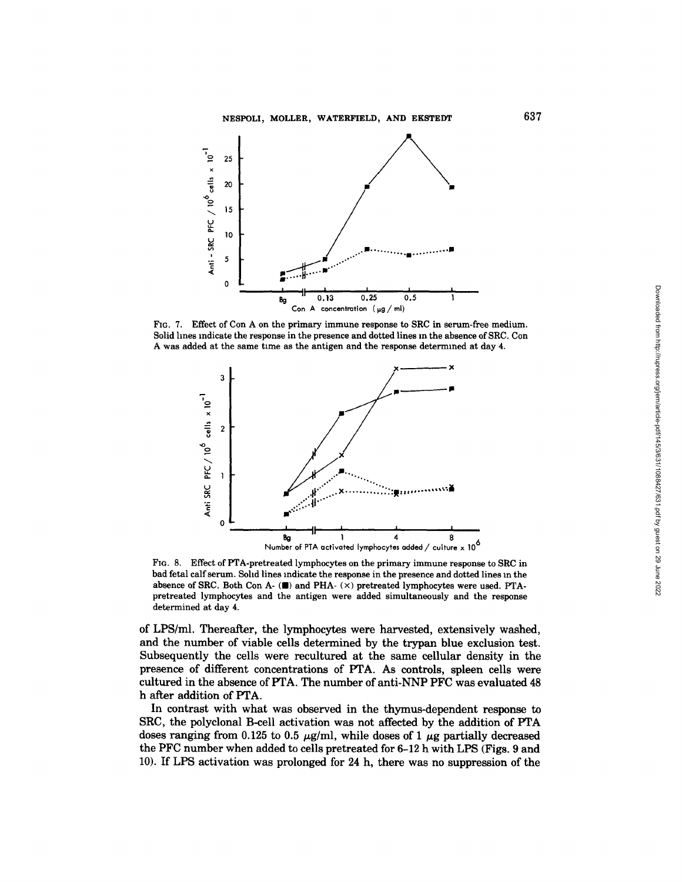

FIG. 7. Effect of Con A on the primary immune response to SRC in serum-free medium. Solid hnes indicate the response in the presence and dotted lines m the absence of SRC. Con A was added at the same time as the antigen and the response determined at day 4.



FIG. 8. Effect of PTA-pretreated lymphocytes on the primary immune response to SRC in bad fetal calf serum. Sohd lines indicate the response in the presence and dotted lines m the absence of SRC. Both Con A- $(\blacksquare)$  and PHA- $(\times)$  pretreated lymphocytes were used. PTApretreated lymphocytes and the antigen were added simultaneously and the response determined at day 4.

of LPS/ml. Thereafter, the lymphocytes were harvested, extensively washed, and the number of viable cells determined by the trypan blue exclusion test. Subsequently the cells were recultured at the same cellular density in the presence of different concentrations of PTA. As controls, spleen cells were cultured in the absence of PTA. The number of anti-NNP PFC was evaluated 48 h after addition of PTA.

In contrast with what was observed in the thymus-dependent response to SRC, the polyclonal B-cell activation was not affected by the addition of PTA doses ranging from 0.125 to 0.5  $\mu$ g/ml, while doses of 1  $\mu$ g partially decreased the PFC number when added to cells pretreated for 6-12 h with LPS (Figs. 9 and 10). If LPS activation was prolonged for 24 h, there was no suppression of the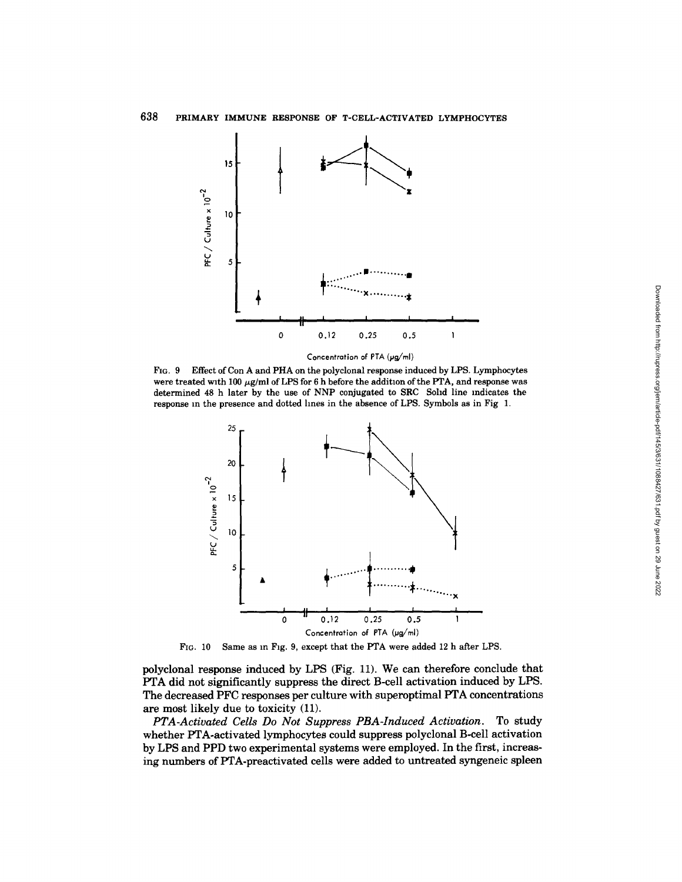

*Concentration* of PTA (pg/ml)

FIG. 9 Effect of Con A and PHA on the polyclonal response induced by LPS. Lymphocytes were treated with 100  $\mu$ g/ml of LPS for 6 h before the addition of the PTA, and response was determined 48 h later by the use of NNP conjugated to SRC Sohd line indicates the response m the presence and dotted hnes in the absence of LPS. Symbols as in Fig 1.



FIG. 10 Same as in Fig. 9, except that the PTA were added 12 h after LPS.

polyclonal response induced by LPS (Fig. 11). We can therefore conclude that PTA did not significantly suppress the direct B-cell activation induced by LPS. The decreased PFC responses per culture with superoptimal PTA concentrations are most likely due to toxicity (11).

*PTA-Activated Cells Do Not Suppress PBA-Induced Activation.* To study whether PTA-activated lymphocytes could suppress polyclonal B-cell activation by LPS and PPD two experimental systems were employed. In the first, increasing numbers of PTA-preactivated cells were added to untreated syngeneic spleen Downloaded from http://rupress.org/jem/article-pdf/145/3/631/1088427/631.pdf by guest on 29 June 2022 Downloaded from http://rupress.org/jem/article-pdf/145/3/631/1088427/631.pdf by guest on 29 June 2022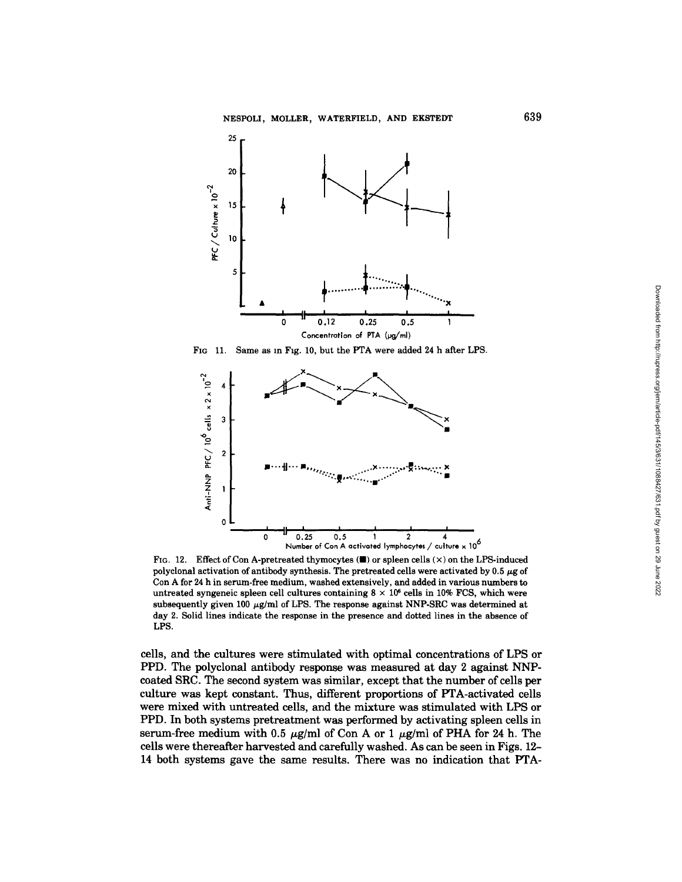

FIG 11. Same as in Fig. 10, but the PTA were added 24 h after LPS.



FIG. 12. Effect of Con A-pretreated thymocytes  $(\blacksquare)$  or spleen cells  $(\times)$  on the LPS-induced polyclonal activation of antibody synthesis. The pretreated cells were activated by 0.5  $\mu$ g of Con A for 24 h in serum-free **medium, washed** extensively, and added in various nmnbers to untreated syngeneic spleen cell cultures containing  $8 \times 10^6$  cells in 10% FCS, which were subsequently given 100  $\mu$ g/ml of LPS. The response against NNP-SRC was determined at day 2. Solid lines indicate the response in the presence and dotted lines in the absence of LPS.

**cells, and the cultures were stimulated with optimal concentrations of LPS or PPD. The polyclonal antibody response was measured at day 2 against NNPcoated SRC. The second system was similar, except that the number of cells per culture was kept constant. Thus, different proportions of PTA-activated cells were mixed with untreated cells, and the mixture was stimulated with LPS or PPD. In both systems pretreatment was performed by activating spleen cells in**  serum-free medium with 0.5  $\mu$ g/ml of Con A or 1  $\mu$ g/ml of PHA for 24 h. The **cells were thereafter harvested and carefully washed. As can be seen in Figs. 12- 14 both systems gave the same results. There was no indication that PTA-**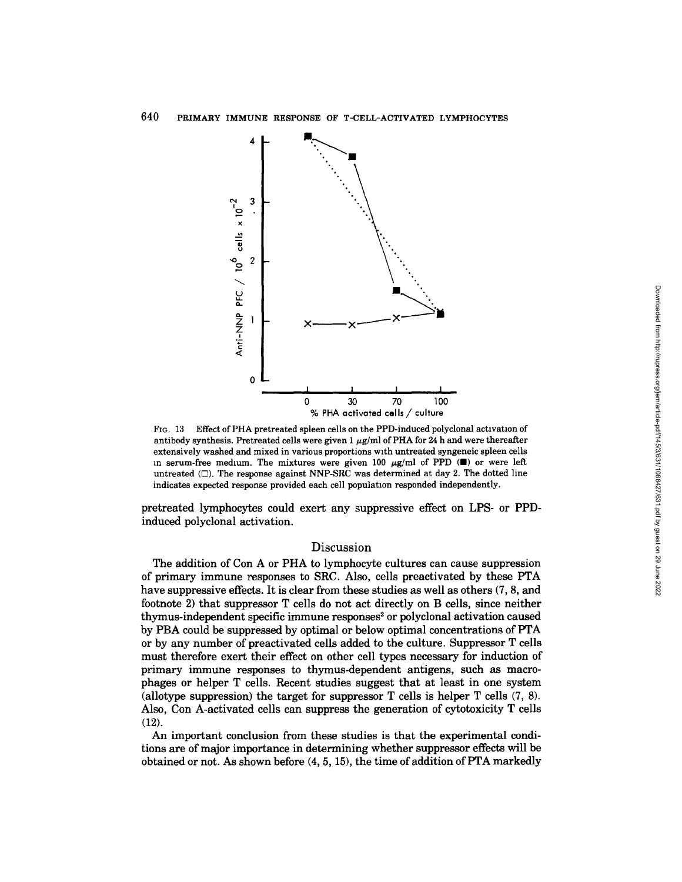

FIG. 13 Effect of PHA pretreated spleen cells on the PPD-induced polyclonal activation of antibody synthesis. Pretreated cells were given 1  $\mu$ g/ml of PHA for 24 h and were thereafter extensively washed and mixed in various proportions with untreated syngeneic spleen cells in serum-free medium. The mixtures were given 100  $\mu$ g/ml of PPD ( $\blacksquare$ ) or were left untreated  $(\Box)$ . The response against NNP-SRC was determined at day 2. The dotted line indicates expected response provided each cell population responded independently.

pretreated lymphocytes could exert any suppressive effect on LPS- or PPDinduced polyclonal activation.

# Discussion

The addition of Con A or PHA to lymphocyte cultures can cause suppression of primary immune responses to SRC. Also, cells preactivated by these PTA have suppressive effects. It is clear from these studies as well as others (7, 8, and footnote 2) that suppressor T cells do not act directly on B cells, since neither thymus-independent specific immune responses<sup>2</sup> or polyclonal activation caused by PBA could be suppressed by optimal or below optimal concentrations of PTA or by any number of preactivated cells added to the culture. Suppressor T cells must therefore exert their effect on other cell types necessary for induction of primary immune responses to thymus-dependent antigens, such as macrophages or helper T cells. Recent studies suggest that at least in one system (allotype suppression) the target for suppressor T cells is helper T cells (7, 8). Also, Con A-activated cells can suppress the generation of cytotoxicity T cells (12).

An important conclusion from these studies is that the experimental conditions are of major importance in determining whether suppressor effects will be obtained or not. As shown before (4, 5, 15), the time of addition of PTA markedly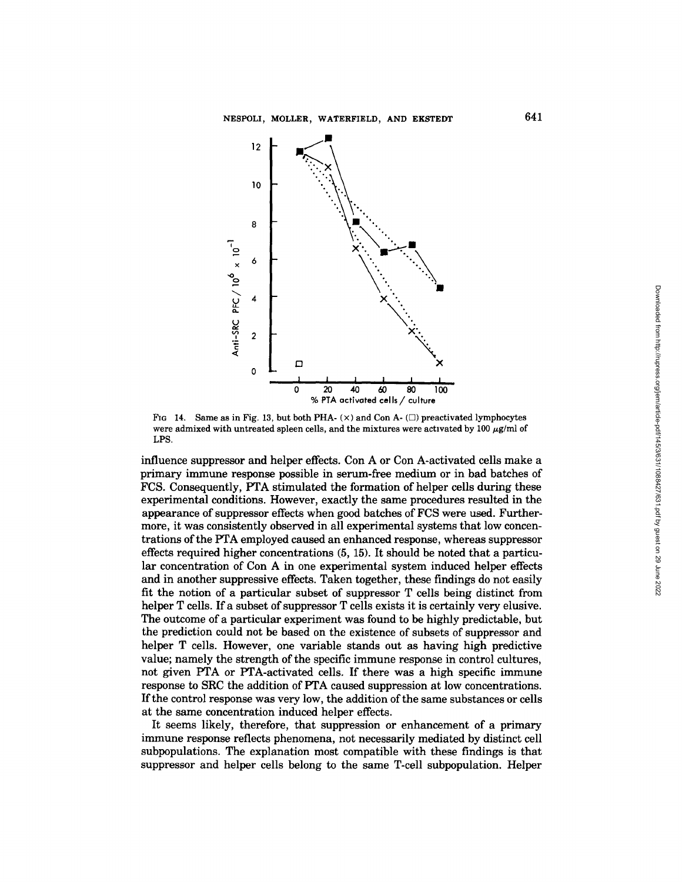

FIG 14. Same as in Fig. 13, but both PHA- $(x)$  and Con A- $(\Box)$  preactivated lymphocytes were admixed with untreated spleen cells, and the mixtures were activated by 100  $\mu$ g/ml of LPS.

influence suppressor and helper effects. Con A or Con A-activated cells make a primary immune response possible in serum-free medium or in bad batches of FCS. Consequently, PTA stimulated the formation of helper cells during these experimental conditions. However, exactly the same procedures resulted in the appearance of suppressor effects when good batches of FCS were used. Furthermore, it was consistently observed in all experimental systems that low concentrations of the PTA employed caused an enhanced response, whereas suppressor effects required higher concentrations (5, 15). It should be noted that a particular concentration of Con A in one experimental system induced helper effects and in another suppressive effects. Taken together, these findings do not easily fit the notion of a particular subset of suppressor T cells being distinct from helper T cells. If a subset of suppressor T cells exists it is certainly very elusive. The outcome of a particular experiment was found to be highly predictable, but the prediction could not be based on the existence of subsets of suppressor and helper T cells. However, one variable stands out as having high predictive value; namely the strength of the specific immune response in control cultures, not given PTA or PTA-activated cells. If there was a high specific immune response to SRC the addition of PTA caused suppression at low concentrations. If the control response was very low, the addition of the same substances or cells at the same concentration induced helper effects.

It seems likely, therefore, that suppression or enhancement of a primary immune response reflects phenomena, not necessarily mediated by distinct cell subpopulations. The explanation most compatible with these findings is that suppressor and helper cells belong to the same T-cell subpopulation. Helper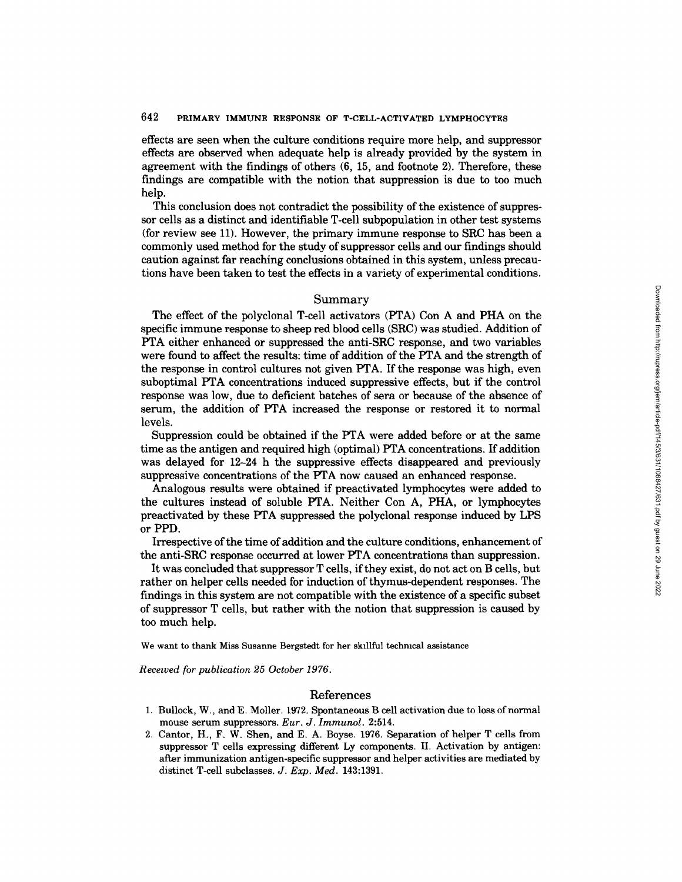# 642 PRIMARY IMMUNE RESPONSE OF T-CELL-ACTIVATED LYMPHOCYTES

effects are seen when the culture conditions require more help, and suppressor effects are observed when adequate help is already provided by the system in agreement with the findings of others (6, 15, and footnote 2). Therefore, these findings are compatible with the notion that suppression is due to too much help.

This conclusion does not contradict the possibility of the existence of suppressor cells as a distinct and identifiable T-cell subpopulation in other test systems (for review see 11). However, the primary immune response to SRC has been a commonly used method for the study of suppressor cells and our findings should caution against far reaching conclusions obtained in this system, unless precautions have been taken to test the effects in a variety of experimental conditions.

#### Summary

The effect of the polyclonal T-cell activators (PTA) Con A and PHA on the specific immune response to sheep red blood cells (SRC) was studied. Addition of PTA either enhanced or suppressed the anti-SRC response, and two variables were found to affect the results: time of addition of the PTA and the strength of the response in control cultures not given PTA. If the response was high, even suboptimal PTA concentrations induced suppressive effects, but if the control response was low, due to deficient batches of sera or because of the absence of serum, the addition of PTA increased the response or restored it to normal levels.

Suppression could be obtained if the PTA were added before or at the same time as the antigen and required high (optimal) PTA concentrations. If addition was delayed for 12-24 h the suppressive effects disappeared and previously suppressive concentrations of the PTA now caused an enhanced response.

Analogous results were obtained if preactivated lymphocytes were added to the cultures instead of soluble PTA. Neither Con A, PHA, or lymphocytes preactivated by these PTA suppressed the polyclonal response induced by LPS or PPD.

Irrespective of the time of addition and the culture conditions, enhancement of the anti-SRC response occurred at lower PTA concentrations than suppression.

It was concluded that suppressor T cells, if they exist, do not act on B cells, but rather on helper cells needed for induction of thymus-dependent responses. The findings in this system are not compatible with the existence of a specific subset of suppressor T cells, but rather with the notion that suppression is caused by too much help.

We want to thank Miss Susanne Bergstedt for her skillful techmcal assistance

*Recewed for publication 25 October 1976.* 

## References

- 1. Bullock, W., and E. Moiler. 1972. Spontaneous B cell activation due to loss of normal mouse serum suppressors. *Eur. J. Immunol.* 2:514.
- 2. Cantor, H., F. W. Shen, and E. A. Boyse. 1976. Separation of helper T cells from suppressor T cells expressing different Ly components. II. Activation by antigen: after immunization antigen-specific suppressor and helper activities are mediated by distinct T-cell subclasses. *J. Exp. Med.* 143:1391.